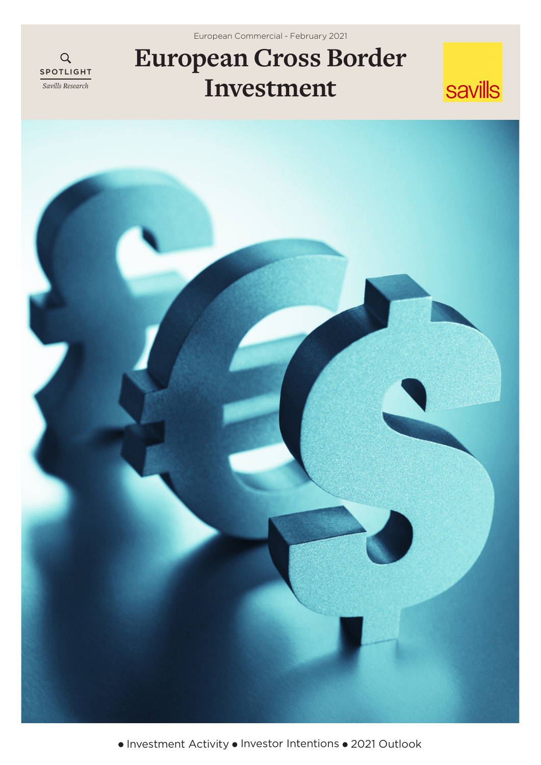European Commercial - February 2021

# $\overline{Q}$ SPOTLIGHT *Savills Research*

# **European Cross Border Investment**





 $\bullet$  Investment Activity  $\bullet$  Investor Intentions  $\bullet$  2021 Outlook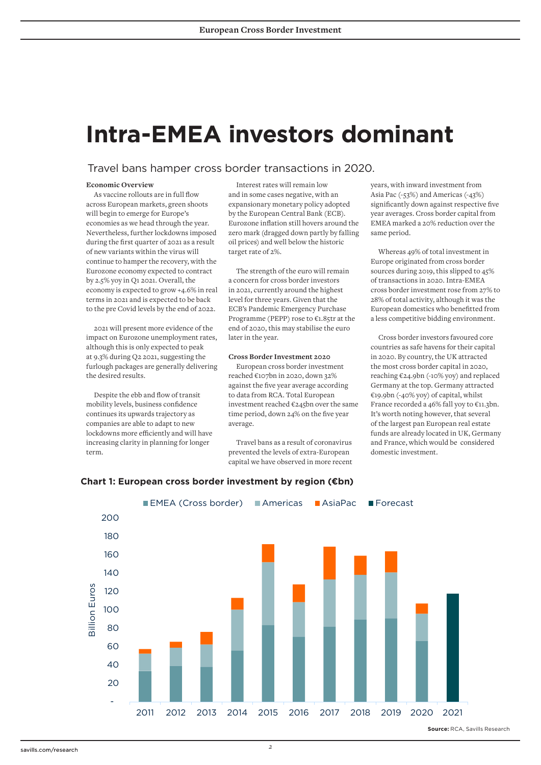# **Intra-EMEA investors dominant**

### Travel bans hamper cross border transactions in 2020.

#### **Economic Overview**

As vaccine rollouts are in full flow across European markets, green shoots will begin to emerge for Europe's economies as we head through the year. Nevertheless, further lockdowns imposed during the first quarter of 2021 as a result of new variants within the virus will continue to hamper the recovery, with the Eurozone economy expected to contract by 2.5% yoy in Q1 2021. Overall, the economy is expected to grow +4.6% in real terms in 2021 and is expected to be back to the pre Covid levels by the end of 2022.

2021 will present more evidence of the impact on Eurozone unemployment rates, although this is only expected to peak at 9.3% during Q2 2021, suggesting the furlough packages are generally delivering the desired results.

Despite the ebb and flow of transit mobility levels, business confidence continues its upwards trajectory as companies are able to adapt to new lockdowns more efficiently and will have increasing clarity in planning for longer term.

Interest rates will remain low and in some cases negative, with an expansionary monetary policy adopted by the European Central Bank (ECB). Eurozone inflation still hovers around the zero mark (dragged down partly by falling oil prices) and well below the historic target rate of 2%.

The strength of the euro will remain a concern for cross border investors in 2021, currently around the highest level for three years. Given that the ECB's Pandemic Emergency Purchase Programme (PEPP) rose to €1.85tr at the end of 2020, this may stabilise the euro later in the year.

#### **Cross Border Investment 2020**

European cross border investment reached €107bn in 2020, down 32% against the five year average according to data from RCA. Total European investment reached €245bn over the same time period, down 24% on the five year average.

Travel bans as a result of coronavirus prevented the levels of extra-European capital we have observed in more recent years, with inward investment from Asia Pac (-53%) and Americas (-43%) significantly down against respective five year averages. Cross border capital from EMEA marked a 20% reduction over the same period.

Whereas 49% of total investment in Europe originated from cross border sources during 2019, this slipped to 45% of transactions in 2020. Intra-EMEA cross border investment rose from 27% to 28% of total activity, although it was the European domestics who benefitted from a less competitive bidding environment.

Cross border investors favoured core countries as safe havens for their capital in 2020. By country, the UK attracted the most cross border capital in 2020, reaching €24.9bn (-10% yoy) and replaced Germany at the top. Germany attracted €19.9bn (-40% yoy) of capital, whilst France recorded a 46% fall yoy to  $€11.3$ bn. It's worth noting however, that several of the largest pan European real estate funds are already located in UK, Germany and France, which would be considered domestic investment.

![](_page_1_Figure_15.jpeg)

# **Chart 1: European cross border investment by region (€bn)**

savills.com/research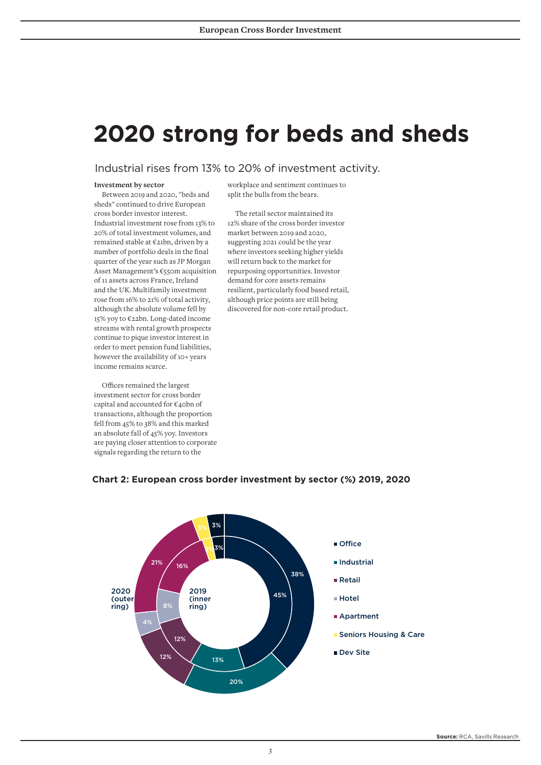# **2020 strong for beds and sheds**

# Industrial rises from 13% to 20% of investment activity.

#### **Investment by sector**

Between 2019 and 2020, "beds and sheds" continued to drive European cross border investor interest. Industrial investment rose from 13% to 20% of total investment volumes, and remained stable at €21bn, driven by a number of portfolio deals in the final quarter of the year such as JP Morgan Asset Management's €550m acquisition of 11 assets across France, Ireland and the UK. Multifamily investment rose from 16% to 21% of total activity, although the absolute volume fell by 15% yoy to €22bn. Long-dated income streams with rental growth prospects continue to pique investor interest in order to meet pension fund liabilities, however the availability of 10+ years income remains scarce.

Offices remained the largest investment sector for cross border capital and accounted for €40bn of transactions, although the proportion fell from 45% to 38% and this marked an absolute fall of 45% yoy. Investors are paying closer attention to corporate signals regarding the return to the

workplace and sentiment continues to split the bulls from the bears.

The retail sector maintained its 12% share of the cross border investor market between 2019 and 2020, suggesting 2021 could be the year where investors seeking higher yields will return back to the market for repurposing opportunities. Investor demand for core assets remains resilient, particularly food based retail, although price points are still being discovered for non-core retail product.

![](_page_2_Figure_8.jpeg)

### **Chart 2: European cross border investment by sector (%) 2019, 2020**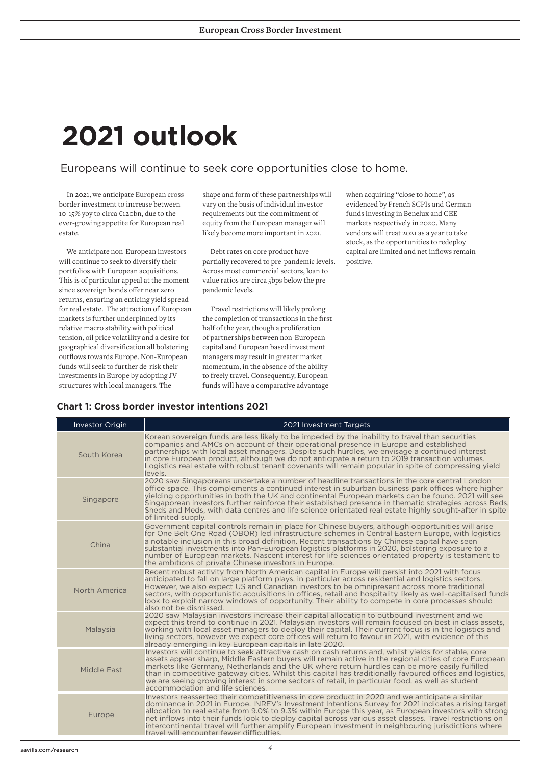# **2021 outlook**

# Europeans will continue to seek core opportunities close to home.

In 2021, we anticipate European cross border investment to increase between 10-15% yoy to circa €120bn, due to the ever-growing appetite for European real estate.

We anticipate non-European investors will continue to seek to diversify their portfolios with European acquisitions. This is of particular appeal at the moment since sovereign bonds offer near zero returns, ensuring an enticing yield spread for real estate. The attraction of European markets is further underpinned by its relative macro stability with political tension, oil price volatility and a desire for geographical diversification all bolstering outflows towards Europe. Non-European funds will seek to further de-risk their investments in Europe by adopting JV structures with local managers. The

shape and form of these partnerships will vary on the basis of individual investor requirements but the commitment of equity from the European manager will likely become more important in 2021.

Debt rates on core product have partially recovered to pre-pandemic levels. Across most commercial sectors, loan to value ratios are circa 5bps below the prepandemic levels.

Travel restrictions will likely prolong the completion of transactions in the first half of the year, though a proliferation of partnerships between non-European capital and European based investment managers may result in greater market momentum, in the absence of the ability to freely travel. Consequently, European funds will have a comparative advantage

when acquiring "close to home", as evidenced by French SCPIs and German funds investing in Benelux and CEE markets respectively in 2020. Many vendors will treat 2021 as a year to take stock, as the opportunities to redeploy capital are limited and net inflows remain positive.

| <b>Investor Origin</b> | 2021 Investment Targets                                                                                                                                                                                                                                                                                                                                                                                                                                                                                                                                                           |
|------------------------|-----------------------------------------------------------------------------------------------------------------------------------------------------------------------------------------------------------------------------------------------------------------------------------------------------------------------------------------------------------------------------------------------------------------------------------------------------------------------------------------------------------------------------------------------------------------------------------|
| South Korea            | Korean sovereign funds are less likely to be impeded by the inability to travel than securities<br>companies and AMCs on account of their operational presence in Europe and established<br>partnerships with local asset managers. Despite such hurdles, we envisage a continued interest<br>in core European product, although we do not anticipate a return to 2019 transaction volumes.<br>Logistics real estate with robust tenant covenants will remain popular in spite of compressing yield<br>levels.                                                                    |
| Singapore              | 2020 saw Singaporeans undertake a number of headline transactions in the core central London<br>office space. This complements a continued interest in suburban business park offices where higher<br>yielding opportunities in both the UK and continental European markets can be found. 2021 will see<br>Singaporean investors further reinforce their established presence in thematic strategies across Beds,<br>Sheds and Meds, with data centres and life science orientated real estate highly sought-after in spite<br>of limited supply.                                |
| China                  | Government capital controls remain in place for Chinese buyers, although opportunities will arise<br>for One Belt One Road (OBOR) led infrastructure schemes in Central Eastern Europe, with logistics<br>a notable inclusion in this broad definition. Recent transactions by Chinese capital have seen<br>substantial investments into Pan-European logistics platforms in 2020, bolstering exposure to a<br>number of European markets. Nascent interest for life sciences orientated property is testament to<br>the ambitions of private Chinese investors in Europe.        |
| North America          | Recent robust activity from North American capital in Europe will persist into 2021 with focus<br>anticipated to fall on large platform plays, in particular across residential and logistics sectors.<br>However, we also expect US and Canadian investors to be omnipresent across more traditional<br>sectors, with opportunistic acquisitions in offices, retail and hospitality likely as well-capitalised funds<br>look to exploit narrow windows of opportunity. Their ability to compete in core processes should<br>also not be dismissed.                               |
| Malaysia               | 2020 saw Malaysian investors increase their capital allocation to outbound investment and we<br>expect this trend to continue in 2021. Malaysian investors will remain focused on best in class assets,<br>working with local asset managers to deploy their capital. Their current focus is in the logistics and<br>living sectors, however we expect core offices will return to favour in 2021, with evidence of this<br>already emerging in key European capitals in late 2020.                                                                                               |
| Middle East            | Investors will continue to seek attractive cash on cash returns and, whilst yields for stable, core<br>assets appear sharp, Middle Eastern buyers will remain active in the regional cities of core European<br>markets like Germany, Netherlands and the UK where return hurdles can be more easily fulfilled<br>than in competitive gateway cities. Whilst this capital has traditionally favoured offices and logistics,<br>we are seeing growing interest in some sectors of retail, in particular food, as well as student<br>accommodation and life sciences.               |
| Europe                 | Investors reasserted their competitiveness in core product in 2020 and we anticipate a similar<br>dominance in 2021 in Europe. INREV's Investment Intentions Survey for 2021 indicates a rising target<br>allocation to real estate from 9.0% to 9.3% within Europe this year, as European investors with strong<br>net inflows into their funds look to deploy capital across various asset classes. Travel restrictions on<br>intercontinental travel will further amplify European investment in neighbouring jurisdictions where<br>travel will encounter fewer difficulties. |

# **Chart 1: Cross border investor intentions 2021**